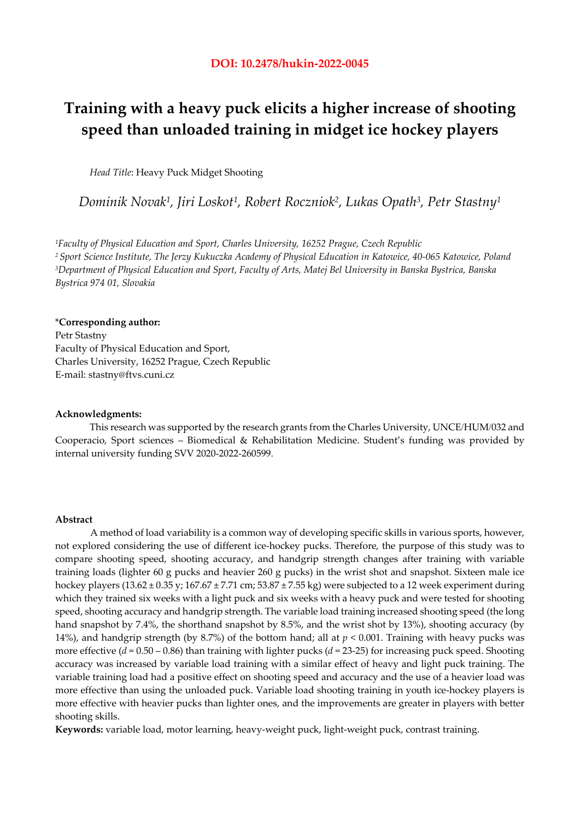# **Training with a heavy puck elicits a higher increase of shooting speed than unloaded training in midget ice hockey players**

*Head Title*: Heavy Puck Midget Shooting

*Dominik Novak1, Jiri Loskot1, Robert Roczniok2, Lukas Opath3, Petr Stastny1* 

*1Faculty of Physical Education and Sport, Charles University, 16252 Prague, Czech Republic 2 Sport Science Institute, The Jerzy Kukuczka Academy of Physical Education in Katowice, 40-065 Katowice, Poland 3Department of Physical Education and Sport, Faculty of Arts, Matej Bel University in Banska Bystrica, Banska Bystrica 974 01, Slovakia* 

# \***Corresponding author:**

Petr Stastny Faculty of Physical Education and Sport, Charles University, 16252 Prague, Czech Republic E-mail: stastny@ftvs.cuni.cz

#### **Acknowledgments:**

This research was supported by the research grants from the Charles University, UNCE/HUM/032 and Cooperacio, Sport sciences – Biomedical & Rehabilitation Medicine. Student's funding was provided by internal university funding SVV 2020-2022-260599.

#### **Abstract**

A method of load variability is a common way of developing specific skills in various sports, however, not explored considering the use of different ice-hockey pucks. Therefore, the purpose of this study was to compare shooting speed, shooting accuracy, and handgrip strength changes after training with variable training loads (lighter 60 g pucks and heavier 260 g pucks) in the wrist shot and snapshot. Sixteen male ice hockey players ( $13.62 \pm 0.35$  y;  $167.67 \pm 7.71$  cm;  $53.87 \pm 7.55$  kg) were subjected to a 12 week experiment during which they trained six weeks with a light puck and six weeks with a heavy puck and were tested for shooting speed, shooting accuracy and handgrip strength. The variable load training increased shooting speed (the long hand snapshot by 7.4%, the shorthand snapshot by 8.5%, and the wrist shot by 13%), shooting accuracy (by 14%), and handgrip strength (by 8.7%) of the bottom hand; all at  $p < 0.001$ . Training with heavy pucks was more effective (*d* = 0.50 – 0.86) than training with lighter pucks (*d* = 23-25) for increasing puck speed. Shooting accuracy was increased by variable load training with a similar effect of heavy and light puck training. The variable training load had a positive effect on shooting speed and accuracy and the use of a heavier load was more effective than using the unloaded puck. Variable load shooting training in youth ice-hockey players is more effective with heavier pucks than lighter ones, and the improvements are greater in players with better shooting skills.

**Keywords:** variable load, motor learning, heavy-weight puck, light-weight puck, contrast training.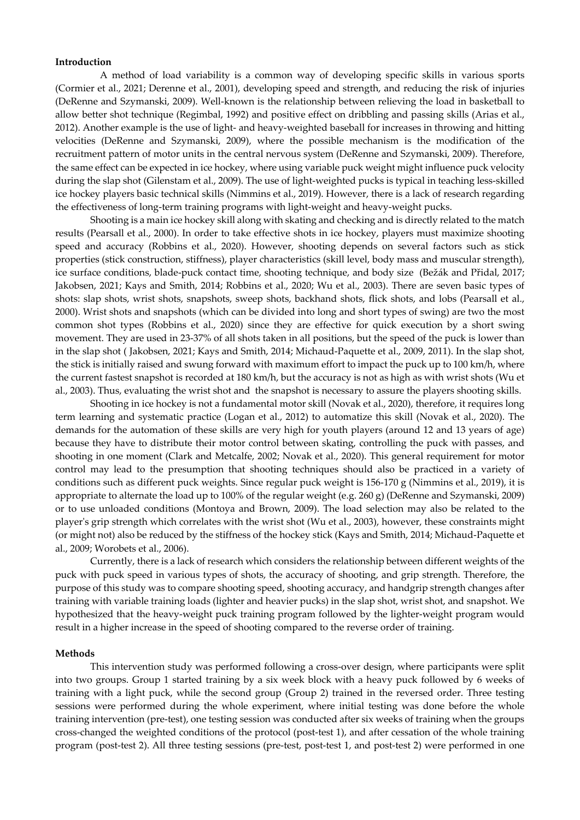#### **Introduction**

 A method of load variability is a common way of developing specific skills in various sports (Cormier et al., 2021; Derenne et al., 2001), developing speed and strength, and reducing the risk of injuries (DeRenne and Szymanski, 2009). Well-known is the relationship between relieving the load in basketball to allow better shot technique (Regimbal, 1992) and positive effect on dribbling and passing skills (Arias et al., 2012). Another example is the use of light- and heavy-weighted baseball for increases in throwing and hitting velocities (DeRenne and Szymanski, 2009), where the possible mechanism is the modification of the recruitment pattern of motor units in the central nervous system (DeRenne and Szymanski, 2009). Therefore, the same effect can be expected in ice hockey, where using variable puck weight might influence puck velocity during the slap shot (Gilenstam et al., 2009). The use of light-weighted pucks is typical in teaching less-skilled ice hockey players basic technical skills (Nimmins et al., 2019). However, there is a lack of research regarding the effectiveness of long-term training programs with light-weight and heavy-weight pucks.

Shooting is a main ice hockey skill along with skating and checking and is directly related to the match results (Pearsall et al., 2000). In order to take effective shots in ice hockey, players must maximize shooting speed and accuracy (Robbins et al., 2020). However, shooting depends on several factors such as stick properties (stick construction, stiffness), player characteristics (skill level, body mass and muscular strength), ice surface conditions, blade-puck contact time, shooting technique, and body size (Bežák and Přidal, 2017; Jakobsen, 2021; Kays and Smith, 2014; Robbins et al., 2020; Wu et al., 2003). There are seven basic types of shots: slap shots, wrist shots, snapshots, sweep shots, backhand shots, flick shots, and lobs (Pearsall et al., 2000). Wrist shots and snapshots (which can be divided into long and short types of swing) are two the most common shot types (Robbins et al., 2020) since they are effective for quick execution by a short swing movement. They are used in 23-37% of all shots taken in all positions, but the speed of the puck is lower than in the slap shot ( Jakobsen, 2021; Kays and Smith, 2014; Michaud-Paquette et al., 2009, 2011). In the slap shot, the stick is initially raised and swung forward with maximum effort to impact the puck up to 100 km/h, where the current fastest snapshot is recorded at 180 km/h, but the accuracy is not as high as with wrist shots (Wu et al., 2003). Thus, evaluating the wrist shot and the snapshot is necessary to assure the players shooting skills.

Shooting in ice hockey is not a fundamental motor skill (Novak et al., 2020), therefore, it requires long term learning and systematic practice (Logan et al., 2012) to automatize this skill (Novak et al., 2020). The demands for the automation of these skills are very high for youth players (around 12 and 13 years of age) because they have to distribute their motor control between skating, controlling the puck with passes, and shooting in one moment (Clark and Metcalfe, 2002; Novak et al., 2020). This general requirement for motor control may lead to the presumption that shooting techniques should also be practiced in a variety of conditions such as different puck weights. Since regular puck weight is 156-170 g (Nimmins et al., 2019), it is appropriate to alternate the load up to 100% of the regular weight (e.g. 260 g) (DeRenne and Szymanski, 2009) or to use unloaded conditions (Montoya and Brown, 2009). The load selection may also be related to the player's grip strength which correlates with the wrist shot (Wu et al., 2003), however, these constraints might (or might not) also be reduced by the stiffness of the hockey stick (Kays and Smith, 2014; Michaud-Paquette et al., 2009; Worobets et al., 2006).

Currently, there is a lack of research which considers the relationship between different weights of the puck with puck speed in various types of shots, the accuracy of shooting, and grip strength. Therefore, the purpose of this study was to compare shooting speed, shooting accuracy, and handgrip strength changes after training with variable training loads (lighter and heavier pucks) in the slap shot, wrist shot, and snapshot. We hypothesized that the heavy-weight puck training program followed by the lighter-weight program would result in a higher increase in the speed of shooting compared to the reverse order of training.

#### **Methods**

This intervention study was performed following a cross-over design, where participants were split into two groups. Group 1 started training by a six week block with a heavy puck followed by 6 weeks of training with a light puck, while the second group (Group 2) trained in the reversed order. Three testing sessions were performed during the whole experiment, where initial testing was done before the whole training intervention (pre-test), one testing session was conducted after six weeks of training when the groups cross-changed the weighted conditions of the protocol (post-test 1), and after cessation of the whole training program (post-test 2). All three testing sessions (pre-test, post-test 1, and post-test 2) were performed in one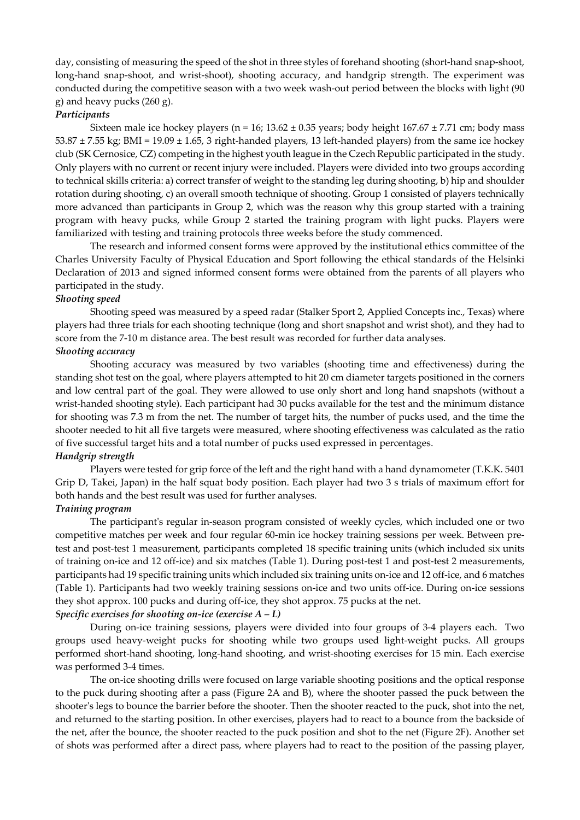day, consisting of measuring the speed of the shot in three styles of forehand shooting (short-hand snap-shoot, long-hand snap-shoot, and wrist-shoot), shooting accuracy, and handgrip strength. The experiment was conducted during the competitive season with a two week wash-out period between the blocks with light (90 g) and heavy pucks (260 g).

# *Participants*

Sixteen male ice hockey players (n = 16;  $13.62 \pm 0.35$  years; body height  $167.67 \pm 7.71$  cm; body mass  $53.87 \pm 7.55$  kg; BMI =  $19.09 \pm 1.65$ , 3 right-handed players, 13 left-handed players) from the same ice hockey club (SK Cernosice, CZ) competing in the highest youth league in the Czech Republic participated in the study. Only players with no current or recent injury were included. Players were divided into two groups according to technical skills criteria: a) correct transfer of weight to the standing leg during shooting, b) hip and shoulder rotation during shooting, c) an overall smooth technique of shooting. Group 1 consisted of players technically more advanced than participants in Group 2, which was the reason why this group started with a training program with heavy pucks, while Group 2 started the training program with light pucks. Players were familiarized with testing and training protocols three weeks before the study commenced.

The research and informed consent forms were approved by the institutional ethics committee of the Charles University Faculty of Physical Education and Sport following the ethical standards of the Helsinki Declaration of 2013 and signed informed consent forms were obtained from the parents of all players who participated in the study.

# *Shooting speed*

Shooting speed was measured by a speed radar (Stalker Sport 2, Applied Concepts inc., Texas) where players had three trials for each shooting technique (long and short snapshot and wrist shot), and they had to score from the 7-10 m distance area. The best result was recorded for further data analyses.

# *Shooting accuracy*

 Shooting accuracy was measured by two variables (shooting time and effectiveness) during the standing shot test on the goal, where players attempted to hit 20 cm diameter targets positioned in the corners and low central part of the goal. They were allowed to use only short and long hand snapshots (without a wrist-handed shooting style). Each participant had 30 pucks available for the test and the minimum distance for shooting was 7.3 m from the net. The number of target hits, the number of pucks used, and the time the shooter needed to hit all five targets were measured, where shooting effectiveness was calculated as the ratio of five successful target hits and a total number of pucks used expressed in percentages.

### *Handgrip strength*

Players were tested for grip force of the left and the right hand with a hand dynamometer (T.K.K. 5401 Grip D, Takei, Japan) in the half squat body position. Each player had two 3 s trials of maximum effort for both hands and the best result was used for further analyses.

# *Training program*

The participant's regular in-season program consisted of weekly cycles, which included one or two competitive matches per week and four regular 60-min ice hockey training sessions per week. Between pretest and post-test 1 measurement, participants completed 18 specific training units (which included six units of training on-ice and 12 off-ice) and six matches (Table 1). During post-test 1 and post-test 2 measurements, participants had 19 specific training units which included six training units on-ice and 12 off-ice, and 6 matches (Table 1). Participants had two weekly training sessions on-ice and two units off-ice. During on-ice sessions they shot approx. 100 pucks and during off-ice, they shot approx. 75 pucks at the net.

# *Specific exercises for shooting on-ice (exercise A – L)*

During on-ice training sessions, players were divided into four groups of 3-4 players each. Two groups used heavy-weight pucks for shooting while two groups used light-weight pucks. All groups performed short-hand shooting, long-hand shooting, and wrist-shooting exercises for 15 min. Each exercise was performed 3-4 times.

The on-ice shooting drills were focused on large variable shooting positions and the optical response to the puck during shooting after a pass (Figure 2A and B), where the shooter passed the puck between the shooter's legs to bounce the barrier before the shooter. Then the shooter reacted to the puck, shot into the net, and returned to the starting position. In other exercises, players had to react to a bounce from the backside of the net, after the bounce, the shooter reacted to the puck position and shot to the net (Figure 2F). Another set of shots was performed after a direct pass, where players had to react to the position of the passing player,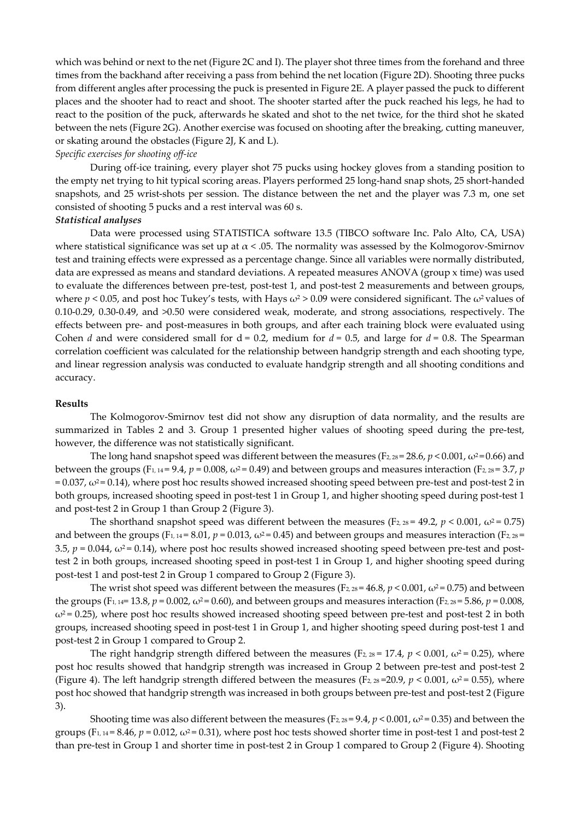which was behind or next to the net (Figure 2C and I). The player shot three times from the forehand and three times from the backhand after receiving a pass from behind the net location (Figure 2D). Shooting three pucks from different angles after processing the puck is presented in Figure 2E. A player passed the puck to different places and the shooter had to react and shoot. The shooter started after the puck reached his legs, he had to react to the position of the puck, afterwards he skated and shot to the net twice, for the third shot he skated between the nets (Figure 2G). Another exercise was focused on shooting after the breaking, cutting maneuver, or skating around the obstacles (Figure 2J, K and L).

### *Specific exercises for shooting off-ice*

During off-ice training, every player shot 75 pucks using hockey gloves from a standing position to the empty net trying to hit typical scoring areas. Players performed 25 long-hand snap shots, 25 short-handed snapshots, and 25 wrist-shots per session. The distance between the net and the player was 7.3 m, one set consisted of shooting 5 pucks and a rest interval was 60 s.

#### *Statistical analyses*

Data were processed using STATISTICA software 13.5 (TIBCO software Inc. Palo Alto, CA, USA) where statistical significance was set up at  $\alpha$  < .05. The normality was assessed by the Kolmogorov-Smirnov test and training effects were expressed as a percentage change. Since all variables were normally distributed, data are expressed as means and standard deviations. A repeated measures ANOVA (group x time) was used to evaluate the differences between pre-test, post-test 1, and post-test 2 measurements and between groups, where  $p < 0.05$ , and post hoc Tukey's tests, with Hays  $\omega^2 > 0.09$  were considered significant. The  $\omega^2$  values of 0.10-0.29, 0.30-0.49, and >0.50 were considered weak, moderate, and strong associations, respectively. The effects between pre- and post-measures in both groups, and after each training block were evaluated using Cohen *d* and were considered small for  $d = 0.2$ , medium for  $d = 0.5$ , and large for  $d = 0.8$ . The Spearman correlation coefficient was calculated for the relationship between handgrip strength and each shooting type, and linear regression analysis was conducted to evaluate handgrip strength and all shooting conditions and accuracy.

### **Results**

The Kolmogorov-Smirnov test did not show any disruption of data normality, and the results are summarized in Tables 2 and 3. Group 1 presented higher values of shooting speed during the pre-test, however, the difference was not statistically significant.

The long hand snapshot speed was different between the measures ( $F_{2,28} = 28.6$ ,  $p < 0.001$ ,  $\omega^2 = 0.66$ ) and between the groups (F<sub>1, 14</sub> = 9.4,  $p = 0.008$ ,  $\omega^2 = 0.49$ ) and between groups and measures interaction (F<sub>2, 28</sub> = 3.7, *p*  $= 0.037$ ,  $\omega^2 = 0.14$ ), where post hoc results showed increased shooting speed between pre-test and post-test 2 in both groups, increased shooting speed in post-test 1 in Group 1, and higher shooting speed during post-test 1 and post-test 2 in Group 1 than Group 2 (Figure 3).

The shorthand snapshot speed was different between the measures (F<sub>2, 28</sub> = 49.2, *p* < 0.001,  $\omega$ <sup>2</sup> = 0.75) and between the groups  $(F_{1, 14} = 8.01, p = 0.013, \omega^2 = 0.45)$  and between groups and measures interaction  $(F_{2, 28} =$ 3.5,  $p = 0.044$ ,  $\omega^2 = 0.14$ ), where post hoc results showed increased shooting speed between pre-test and posttest 2 in both groups, increased shooting speed in post-test 1 in Group 1, and higher shooting speed during post-test 1 and post-test 2 in Group 1 compared to Group 2 (Figure 3).

The wrist shot speed was different between the measures ( $F_{2,28} = 46.8$ ,  $p < 0.001$ ,  $\omega^2 = 0.75$ ) and between the groups (F<sub>1, 14</sub>= 13.8,  $p = 0.002$ ,  $\omega^2 = 0.60$ ), and between groups and measures interaction (F<sub>2</sub>, 28</sub> = 5.86,  $p = 0.008$ ,  $\omega^2$  = 0.25), where post hoc results showed increased shooting speed between pre-test and post-test 2 in both groups, increased shooting speed in post-test 1 in Group 1, and higher shooting speed during post-test 1 and post-test 2 in Group 1 compared to Group 2.

The right handgrip strength differed between the measures (F<sub>2, 28</sub> = 17.4,  $p < 0.001$ ,  $\omega^2 = 0.25$ ), where post hoc results showed that handgrip strength was increased in Group 2 between pre-test and post-test 2 (Figure 4). The left handgrip strength differed between the measures (F<sub>2, 28</sub>=20.9, *p* < 0.001,  $\omega^2$  = 0.55), where post hoc showed that handgrip strength was increased in both groups between pre-test and post-test 2 (Figure 3).

Shooting time was also different between the measures (F<sub>2, 28</sub> = 9.4,  $p < 0.001$ ,  $\omega^2$  = 0.35) and between the groups (F<sub>1, 14</sub> = 8.46,  $p = 0.012$ ,  $\omega^2 = 0.31$ ), where post hoc tests showed shorter time in post-test 1 and post-test 2 than pre-test in Group 1 and shorter time in post-test 2 in Group 1 compared to Group 2 (Figure 4). Shooting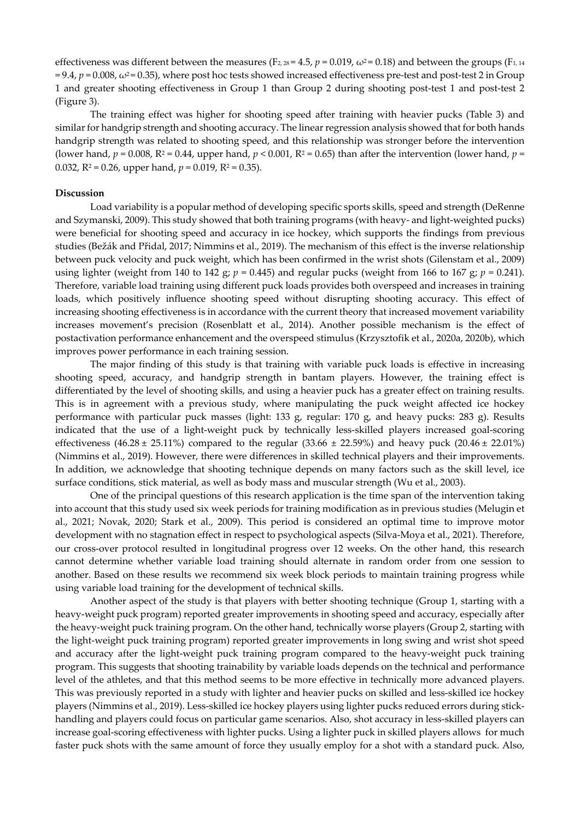effectiveness was different between the measures (F<sub>2, 28</sub> = 4.5,  $p = 0.019$ ,  $\omega^2 = 0.18$ ) and between the groups (F<sub>1, 14</sub>)  $= 9.4$ ,  $p = 0.008$ ,  $\omega^2 = 0.35$ ), where post hoc tests showed increased effectiveness pre-test and post-test 2 in Group 1 and greater shooting effectiveness in Group 1 than Group 2 during shooting post-test 1 and post-test 2 (Figure 3).

The training effect was higher for shooting speed after training with heavier pucks (Table 3) and similar for handgrip strength and shooting accuracy. The linear regression analysis showed that for both hands handgrip strength was related to shooting speed, and this relationship was stronger before the intervention (lower hand,  $p = 0.008$ ,  $R^2 = 0.44$ , upper hand,  $p < 0.001$ ,  $R^2 = 0.65$ ) than after the intervention (lower hand,  $p =$ 0.032,  $R^2 = 0.26$ , upper hand,  $p = 0.019$ ,  $R^2 = 0.35$ ).

#### **Discussion**

Load variability is a popular method of developing specific sports skills, speed and strength (DeRenne and Szymanski, 2009). This study showed that both training programs (with heavy- and light-weighted pucks) were beneficial for shooting speed and accuracy in ice hockey, which supports the findings from previous studies (Bežák and Přidal, 2017; Nimmins et al., 2019). The mechanism of this effect is the inverse relationship between puck velocity and puck weight, which has been confirmed in the wrist shots (Gilenstam et al., 2009) using lighter (weight from 140 to 142 g;  $p = 0.445$ ) and regular pucks (weight from 166 to 167 g;  $p = 0.241$ ). Therefore, variable load training using different puck loads provides both overspeed and increases in training loads, which positively influence shooting speed without disrupting shooting accuracy. This effect of increasing shooting effectiveness is in accordance with the current theory that increased movement variability increases movement's precision (Rosenblatt et al., 2014). Another possible mechanism is the effect of postactivation performance enhancement and the overspeed stimulus (Krzysztofik et al., 2020a, 2020b), which improves power performance in each training session.

The major finding of this study is that training with variable puck loads is effective in increasing shooting speed, accuracy, and handgrip strength in bantam players. However, the training effect is differentiated by the level of shooting skills, and using a heavier puck has a greater effect on training results. This is in agreement with a previous study, where manipulating the puck weight affected ice hockey performance with particular puck masses (light: 133 g, regular: 170 g, and heavy pucks: 283 g). Results indicated that the use of a light-weight puck by technically less-skilled players increased goal-scoring effectiveness (46.28 ± 25.11%) compared to the regular (33.66 ± 22.59%) and heavy puck (20.46 ± 22.01%) (Nimmins et al., 2019). However, there were differences in skilled technical players and their improvements. In addition, we acknowledge that shooting technique depends on many factors such as the skill level, ice surface conditions, stick material, as well as body mass and muscular strength (Wu et al., 2003).

One of the principal questions of this research application is the time span of the intervention taking into account that this study used six week periods for training modification as in previous studies (Melugin et al., 2021; Novak, 2020; Stark et al., 2009). This period is considered an optimal time to improve motor development with no stagnation effect in respect to psychological aspects (Silva-Moya et al., 2021). Therefore, our cross-over protocol resulted in longitudinal progress over 12 weeks. On the other hand, this research cannot determine whether variable load training should alternate in random order from one session to another. Based on these results we recommend six week block periods to maintain training progress while using variable load training for the development of technical skills.

Another aspect of the study is that players with better shooting technique (Group 1, starting with a heavy-weight puck program) reported greater improvements in shooting speed and accuracy, especially after the heavy-weight puck training program. On the other hand, technically worse players (Group 2, starting with the light-weight puck training program) reported greater improvements in long swing and wrist shot speed and accuracy after the light-weight puck training program compared to the heavy-weight puck training program. This suggests that shooting trainability by variable loads depends on the technical and performance level of the athletes, and that this method seems to be more effective in technically more advanced players. This was previously reported in a study with lighter and heavier pucks on skilled and less-skilled ice hockey players (Nimmins et al., 2019). Less-skilled ice hockey players using lighter pucks reduced errors during stickhandling and players could focus on particular game scenarios. Also, shot accuracy in less-skilled players can increase goal-scoring effectiveness with lighter pucks. Using a lighter puck in skilled players allows for much faster puck shots with the same amount of force they usually employ for a shot with a standard puck. Also,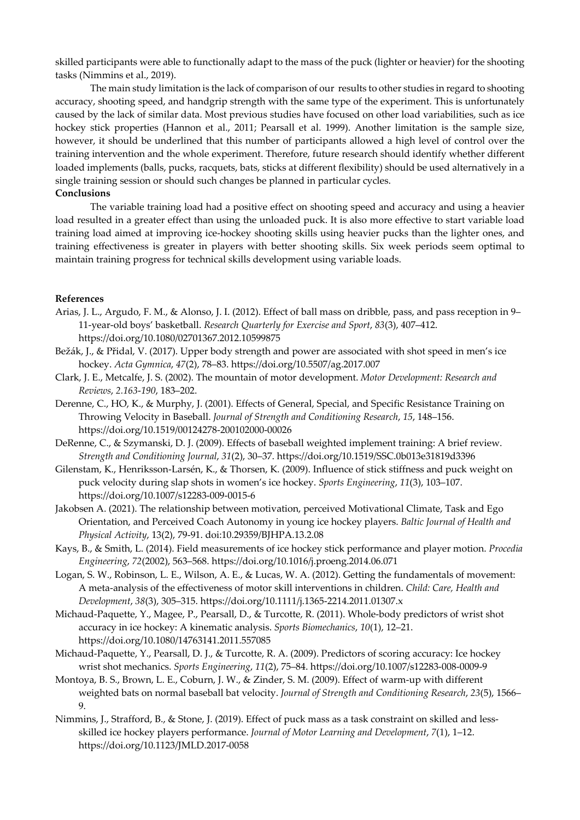skilled participants were able to functionally adapt to the mass of the puck (lighter or heavier) for the shooting tasks (Nimmins et al., 2019).

The main study limitation is the lack of comparison of our results to other studies in regard to shooting accuracy, shooting speed, and handgrip strength with the same type of the experiment. This is unfortunately caused by the lack of similar data. Most previous studies have focused on other load variabilities, such as ice hockey stick properties (Hannon et al., 2011; Pearsall et al. 1999). Another limitation is the sample size, however, it should be underlined that this number of participants allowed a high level of control over the training intervention and the whole experiment. Therefore, future research should identify whether different loaded implements (balls, pucks, racquets, bats, sticks at different flexibility) should be used alternatively in a single training session or should such changes be planned in particular cycles.

## **Conclusions**

The variable training load had a positive effect on shooting speed and accuracy and using a heavier load resulted in a greater effect than using the unloaded puck. It is also more effective to start variable load training load aimed at improving ice-hockey shooting skills using heavier pucks than the lighter ones, and training effectiveness is greater in players with better shooting skills. Six week periods seem optimal to maintain training progress for technical skills development using variable loads.

# **References**

- Arias, J. L., Argudo, F. M., & Alonso, J. I. (2012). Effect of ball mass on dribble, pass, and pass reception in 9– 11-year-old boys' basketball. *Research Quarterly for Exercise and Sport*, *83*(3), 407–412. https://doi.org/10.1080/02701367.2012.10599875
- Bežák, J., & Přidal, V. (2017). Upper body strength and power are associated with shot speed in men's ice hockey. *Acta Gymnica*, *47*(2), 78–83. https://doi.org/10.5507/ag.2017.007
- Clark, J. E., Metcalfe, J. S. (2002). The mountain of motor development. *Motor Development: Research and Reviews*, *2.163*-*190*, 183–202.
- Derenne, C., HO, K., & Murphy, J. (2001). Effects of General, Special, and Specific Resistance Training on Throwing Velocity in Baseball. *Journal of Strength and Conditioning Research*, *15*, 148–156. https://doi.org/10.1519/00124278-200102000-00026
- DeRenne, C., & Szymanski, D. J. (2009). Effects of baseball weighted implement training: A brief review. *Strength and Conditioning Journal*, *31*(2), 30–37. https://doi.org/10.1519/SSC.0b013e31819d3396
- Gilenstam, K., Henriksson-Larsén, K., & Thorsen, K. (2009). Influence of stick stiffness and puck weight on puck velocity during slap shots in women's ice hockey. *Sports Engineering*, *11*(3), 103–107. https://doi.org/10.1007/s12283-009-0015-6
- Jakobsen A. (2021). The relationship between motivation, perceived Motivational Climate, Task and Ego Orientation, and Perceived Coach Autonomy in young ice hockey players. *Baltic Journal of Health and Physical Activity*, 13(2), 79-91. doi:10.29359/BJHPA.13.2.08
- Kays, B., & Smith, L. (2014). Field measurements of ice hockey stick performance and player motion. *Procedia Engineering*, *72*(2002), 563–568. https://doi.org/10.1016/j.proeng.2014.06.071
- Logan, S. W., Robinson, L. E., Wilson, A. E., & Lucas, W. A. (2012). Getting the fundamentals of movement: A meta-analysis of the effectiveness of motor skill interventions in children. *Child: Care, Health and Development*, *38*(3), 305–315. https://doi.org/10.1111/j.1365-2214.2011.01307.x
- Michaud-Paquette, Y., Magee, P., Pearsall, D., & Turcotte, R. (2011). Whole-body predictors of wrist shot accuracy in ice hockey: A kinematic analysis. *Sports Biomechanics*, *10*(1), 12–21. https://doi.org/10.1080/14763141.2011.557085
- Michaud-Paquette, Y., Pearsall, D. J., & Turcotte, R. A. (2009). Predictors of scoring accuracy: Ice hockey wrist shot mechanics. *Sports Engineering*, *11*(2), 75–84. https://doi.org/10.1007/s12283-008-0009-9
- Montoya, B. S., Brown, L. E., Coburn, J. W., & Zinder, S. M. (2009). Effect of warm-up with different weighted bats on normal baseball bat velocity. *Journal of Strength and Conditioning Research*, *23*(5), 1566– 9.
- Nimmins, J., Strafford, B., & Stone, J. (2019). Effect of puck mass as a task constraint on skilled and lessskilled ice hockey players performance. *Journal of Motor Learning and Development*, *7*(1), 1–12. https://doi.org/10.1123/JMLD.2017-0058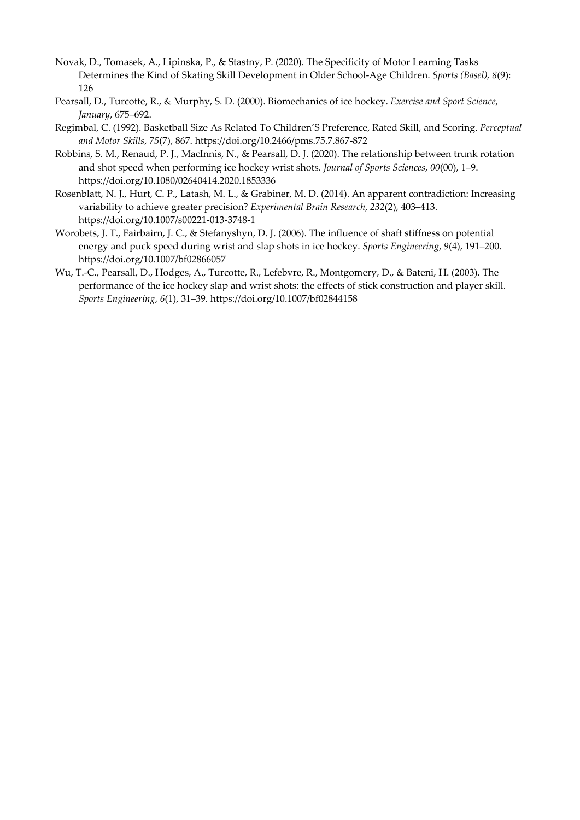- Novak, D., Tomasek, A., Lipinska, P., & Stastny, P. (2020). The Specificity of Motor Learning Tasks Determines the Kind of Skating Skill Development in Older School-Age Children. *Sports (Basel), 8*(9): 126
- Pearsall, D., Turcotte, R., & Murphy, S. D. (2000). Biomechanics of ice hockey. *Exercise and Sport Science*, *January*, 675–692.
- Regimbal, C. (1992). Basketball Size As Related To Children'S Preference, Rated Skill, and Scoring. *Perceptual and Motor Skills*, *75*(7), 867. https://doi.org/10.2466/pms.75.7.867-872
- Robbins, S. M., Renaud, P. J., MacInnis, N., & Pearsall, D. J. (2020). The relationship between trunk rotation and shot speed when performing ice hockey wrist shots. *Journal of Sports Sciences*, *00*(00), 1–9. https://doi.org/10.1080/02640414.2020.1853336
- Rosenblatt, N. J., Hurt, C. P., Latash, M. L., & Grabiner, M. D. (2014). An apparent contradiction: Increasing variability to achieve greater precision? *Experimental Brain Research*, *232*(2), 403–413. https://doi.org/10.1007/s00221-013-3748-1
- Worobets, J. T., Fairbairn, J. C., & Stefanyshyn, D. J. (2006). The influence of shaft stiffness on potential energy and puck speed during wrist and slap shots in ice hockey. *Sports Engineering*, *9*(4), 191–200. https://doi.org/10.1007/bf02866057
- Wu, T.-C., Pearsall, D., Hodges, A., Turcotte, R., Lefebvre, R., Montgomery, D., & Bateni, H. (2003). The performance of the ice hockey slap and wrist shots: the effects of stick construction and player skill. *Sports Engineering*, *6*(1), 31–39. https://doi.org/10.1007/bf02844158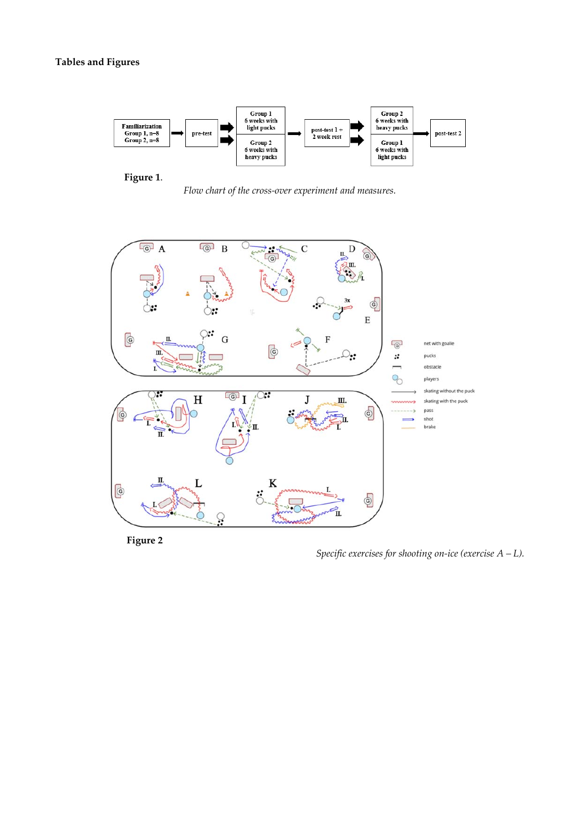

**Figure 1**.

*Flow chart of the cross-over experiment and measures.* 



 **Figure 2**

*Specific exercises for shooting on-ice (exercise A – L).*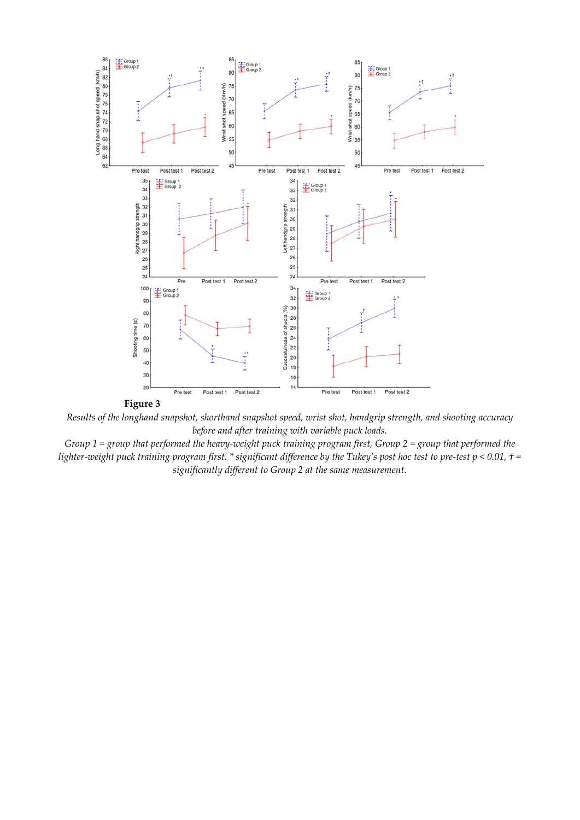

**Figure 3** 

*Results of the longhand snapshot, shorthand snapshot speed, wrist shot, handgrip strength, and shooting accuracy before and after training with variable puck loads.* 

*Group 1 = group that performed the heavy-weight puck training program first, Group 2 = group that performed the lighter-weight puck training program first. \* significant difference by the Tukey's post hoc test to pre-test p < 0.01, † = significantly different to Group 2 at the same measurement.*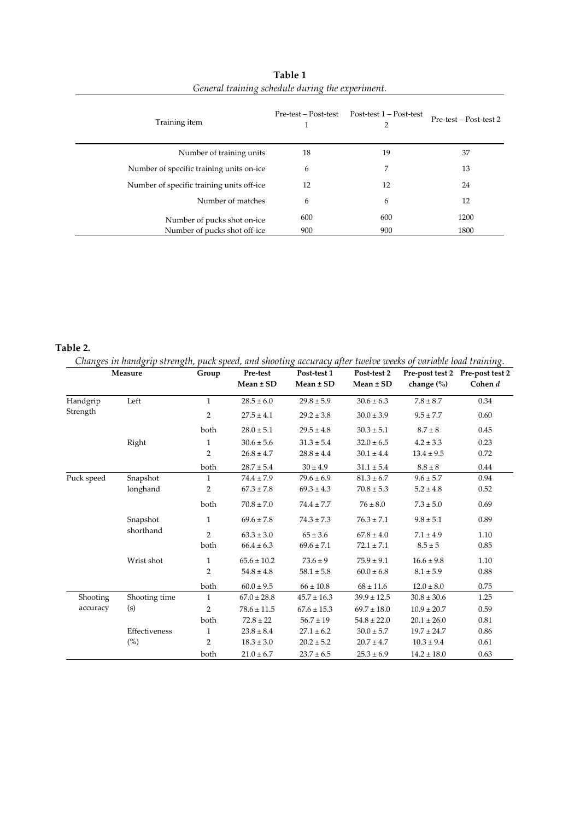| Training item                             | Pre-test – Post-test<br>1 | Post-test 1 – Post-test<br>2 | Pre-test – Post-test 2 |
|-------------------------------------------|---------------------------|------------------------------|------------------------|
| Number of training units                  | 18                        | 19                           | 37                     |
| Number of specific training units on-ice  | 6                         | 7                            | 13                     |
| Number of specific training units off-ice | 12                        | 12                           | 24                     |
| Number of matches                         | 6                         | 6                            | 12                     |
| Number of pucks shot on-ice               | 600                       | 600                          | 1200                   |
| Number of pucks shot off-ice              | 900                       | 900                          | 1800                   |

**Table 1**  *General training schedule during the experiment.* 

# **Table 2.**

*Changes in handgrip strength, puck speed, and shooting accuracy after twelve weeks of variable load training.* 

|            | Measure       | Group          | Pre-test<br>$Mean \pm SD$ | Post-test 1<br>$Mean \pm SD$ | Post-test 2<br>$Mean \pm SD$ | change $(\%)$   | Pre-post test 2 Pre-post test 2<br>Cohen d |
|------------|---------------|----------------|---------------------------|------------------------------|------------------------------|-----------------|--------------------------------------------|
| Handgrip   | Left          | $\mathbf{1}$   | $28.5 \pm 6.0$            | $29.8 \pm 5.9$               | $30.6 \pm 6.3$               | $7.8 \pm 8.7$   | 0.34                                       |
| Strength   |               | 2              | $27.5 \pm 4.1$            | $29.2 \pm 3.8$               | $30.0 \pm 3.9$               | $9.5 \pm 7.7$   | 0.60                                       |
|            |               | both           | $28.0 \pm 5.1$            | $29.5 \pm 4.8$               | $30.3 \pm 5.1$               | $8.7 \pm 8$     | 0.45                                       |
|            | Right         | 1              | $30.6 \pm 5.6$            | $31.3 \pm 5.4$               | $32.0 \pm 6.5$               | $4.2 \pm 3.3$   | 0.23                                       |
|            |               | $\overline{2}$ | $26.8 \pm 4.7$            | $28.8 \pm 4.4$               | $30.1 \pm 4.4$               | $13.4 \pm 9.5$  | 0.72                                       |
|            |               | both           | $28.7 \pm 5.4$            | $30 \pm 4.9$                 | $31.1 \pm 5.4$               | $8.8 \pm 8$     | 0.44                                       |
| Puck speed | Snapshot      | $\mathbf{1}$   | $74.4 \pm 7.9$            | $79.6 \pm 6.9$               | $81.3 \pm 6.7$               | $9.6 \pm 5.7$   | 0.94                                       |
|            | longhand      | 2              | $67.3 \pm 7.8$            | $69.3 \pm 4.3$               | $70.8 \pm 5.3$               | $5.2 \pm 4.8$   | 0.52                                       |
|            |               | both           | $70.8 \pm 7.0$            | $74.4 \pm 7.7$               | $76 \pm 8.0$                 | $7.3 \pm 5.0$   | 0.69                                       |
|            | Snapshot      | 1              | $69.6 \pm 7.8$            | $74.3 \pm 7.3$               | $76.3 \pm 7.1$               | $9.8 \pm 5.1$   | 0.89                                       |
|            | shorthand     | $\overline{2}$ | $63.3 \pm 3.0$            | $65 \pm 3.6$                 | $67.8 \pm 4.0$               | $7.1 \pm 4.9$   | 1.10                                       |
|            |               | both           | $66.4 \pm 6.3$            | $69.6 \pm 7.1$               | $72.1 \pm 7.1$               | $8.5 \pm 5$     | 0.85                                       |
|            | Wrist shot    | 1              | $65.6 \pm 10.2$           | $73.6 \pm 9$                 | $75.9 \pm 9.1$               | $16.6 \pm 9.8$  | 1.10                                       |
|            |               | $\overline{2}$ | $54.8 \pm 4.8$            | $58.1 \pm 5.8$               | $60.0 \pm 6.8$               | $8.1 \pm 5.9$   | 0.88                                       |
|            |               | both           | $60.0 \pm 9.5$            | $66 \pm 10.8$                | $68 \pm 11.6$                | $12.0 \pm 8.0$  | 0.75                                       |
| Shooting   | Shooting time | $\mathbf{1}$   | $67.0 \pm 28.8$           | $45.7 \pm 16.3$              | $39.9 \pm 12.5$              | $30.8 \pm 30.6$ | 1.25                                       |
| accuracy   | (s)           | $\overline{2}$ | $78.6 \pm 11.5$           | $67.6 \pm 15.3$              | $69.7 \pm 18.0$              | $10.9 \pm 20.7$ | 0.59                                       |
|            |               | both           | $72.8 \pm 22$             | $56.7 \pm 19$                | $54.8 \pm 22.0$              | $20.1 \pm 26.0$ | 0.81                                       |
|            | Effectiveness | 1              | $23.8 \pm 8.4$            | $27.1 \pm 6.2$               | $30.0 \pm 5.7$               | $19.7 \pm 24.7$ | 0.86                                       |
|            | $(\%)$        | $\overline{2}$ | $18.3 \pm 3.0$            | $20.2 \pm 5.2$               | $20.7 \pm 4.7$               | $10.3 \pm 9.4$  | 0.61                                       |
|            |               | both           | $21.0 \pm 6.7$            | $23.7 \pm 6.5$               | $25.3 \pm 6.9$               | $14.2 \pm 18.0$ | 0.63                                       |